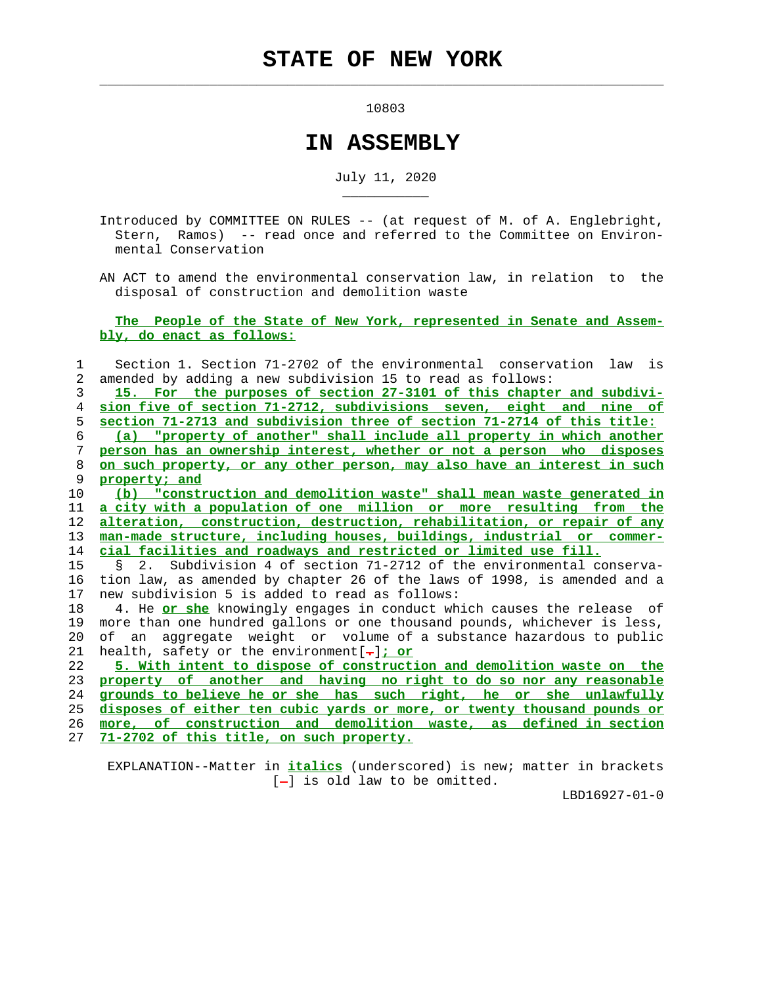$\mathcal{L}_\text{max} = \frac{1}{2} \sum_{i=1}^{n} \frac{1}{2} \sum_{i=1}^{n} \frac{1}{2} \sum_{i=1}^{n} \frac{1}{2} \sum_{i=1}^{n} \frac{1}{2} \sum_{i=1}^{n} \frac{1}{2} \sum_{i=1}^{n} \frac{1}{2} \sum_{i=1}^{n} \frac{1}{2} \sum_{i=1}^{n} \frac{1}{2} \sum_{i=1}^{n} \frac{1}{2} \sum_{i=1}^{n} \frac{1}{2} \sum_{i=1}^{n} \frac{1}{2} \sum_{i=1}^{n} \frac{1$ 

\_\_\_\_\_\_\_\_\_\_\_

10803

## **IN ASSEMBLY**

July 11, 2020

 Introduced by COMMITTEE ON RULES -- (at request of M. of A. Englebright, Stern, Ramos) -- read once and referred to the Committee on Environ mental Conservation

 AN ACT to amend the environmental conservation law, in relation to the disposal of construction and demolition waste

 **The People of the State of New York, represented in Senate and Assem bly, do enact as follows:**

 1 Section 1. Section 71-2702 of the environmental conservation law is 2 amended by adding a new subdivision 15 to read as follows: **15. For the purposes of section 27-3101 of this chapter and subdivi- sion five of section 71-2712, subdivisions seven, eight and nine of section 71-2713 and subdivision three of section 71-2714 of this title: (a) "property of another" shall include all property in which another person has an ownership interest, whether or not a person who disposes on such property, or any other person, may also have an interest in such property; and (b) "construction and demolition waste" shall mean waste generated in a city with a population of one million or more resulting from the alteration, construction, destruction, rehabilitation, or repair of any man-made structure, including houses, buildings, industrial or commer- cial facilities and roadways and restricted or limited use fill.** 15 § 2. Subdivision 4 of section 71-2712 of the environmental conserva- 16 tion law, as amended by chapter 26 of the laws of 1998, is amended and a 17 new subdivision 5 is added to read as follows: 18 4. He **or she** knowingly engages in conduct which causes the release of 19 more than one hundred gallons or one thousand pounds, whichever is less, 20 of an aggregate weight or volume of a substance hazardous to public 21 health, safety or the environment[**.**]**; or 5. With intent to dispose of construction and demolition waste on the property of another and having no right to do so nor any reasonable grounds to believe he or she has such right, he or she unlawfully disposes of either ten cubic yards or more, or twenty thousand pounds or more, of construction and demolition waste, as defined in section 71-2702 of this title, on such property.**

 EXPLANATION--Matter in **italics** (underscored) is new; matter in brackets  $[-]$  is old law to be omitted.

LBD16927-01-0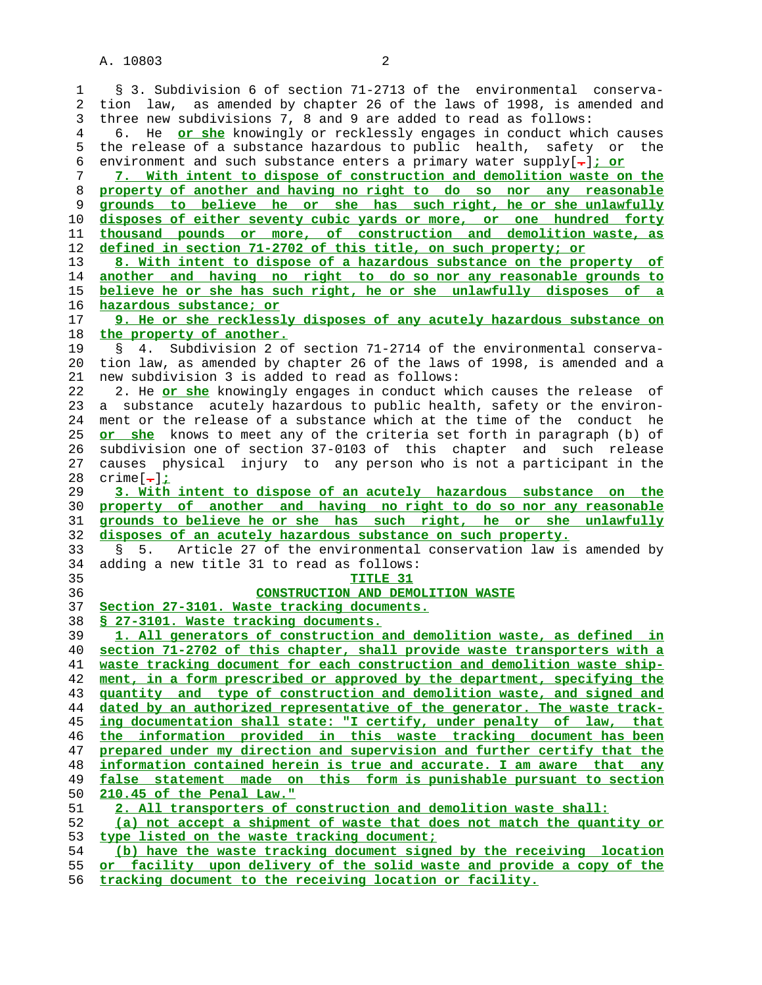1 § 3. Subdivision 6 of section 71-2713 of the environmental conserva- 2 tion law, as amended by chapter 26 of the laws of 1998, is amended and 3 three new subdivisions 7, 8 and 9 are added to read as follows: 4 6. He **or she** knowingly or recklessly engages in conduct which causes 5 the release of a substance hazardous to public health, safety or the 6 environment and such substance enters a primary water supply[**.**]**; or 7. With intent to dispose of construction and demolition waste on the property of another and having no right to do so nor any reasonable grounds to believe he or she has such right, he or she unlawfully disposes of either seventy cubic yards or more, or one hundred forty thousand pounds or more, of construction and demolition waste, as defined in section 71-2702 of this title, on such property; or 8. With intent to dispose of a hazardous substance on the property of another and having no right to do so nor any reasonable grounds to believe he or she has such right, he or she unlawfully disposes of a hazardous substance; or 9. He or she recklessly disposes of any acutely hazardous substance on the property of another.** 19 § 4. Subdivision 2 of section 71-2714 of the environmental conserva- 20 tion law, as amended by chapter 26 of the laws of 1998, is amended and a 21 new subdivision 3 is added to read as follows: 22 2. He **or she** knowingly engages in conduct which causes the release of 23 a substance acutely hazardous to public health, safety or the environ- 24 ment or the release of a substance which at the time of the conduct he **or she** knows to meet any of the criteria set forth in paragraph (b) of 26 subdivision one of section 37-0103 of this chapter and such release 27 causes physical injury to any person who is not a participant in the 28 crime[**.**]**; 3. With intent to dispose of an acutely hazardous substance on the property of another and having no right to do so nor any reasonable grounds to believe he or she has such right, he or she unlawfully disposes of an acutely hazardous substance on such property.** 33 § 5. Article 27 of the environmental conservation law is amended by 34 adding a new title 31 to read as follows: **TITLE 31 CONSTRUCTION AND DEMOLITION WASTE Section 27-3101. Waste tracking documents. § 27-3101. Waste tracking documents. 1. All generators of construction and demolition waste, as defined in section 71-2702 of this chapter, shall provide waste transporters with a waste tracking document for each construction and demolition waste ship- ment, in a form prescribed or approved by the department, specifying the quantity and type of construction and demolition waste, and signed and dated by an authorized representative of the generator. The waste track- ing documentation shall state: "I certify, under penalty of law, that the information provided in this waste tracking document has been prepared under my direction and supervision and further certify that the information contained herein is true and accurate. I am aware that any false statement made on this form is punishable pursuant to section 210.45 of the Penal Law." 2. All transporters of construction and demolition waste shall: (a) not accept a shipment of waste that does not match the quantity or type listed on the waste tracking document; (b) have the waste tracking document signed by the receiving location or facility upon delivery of the solid waste and provide a copy of the**

**tracking document to the receiving location or facility.**